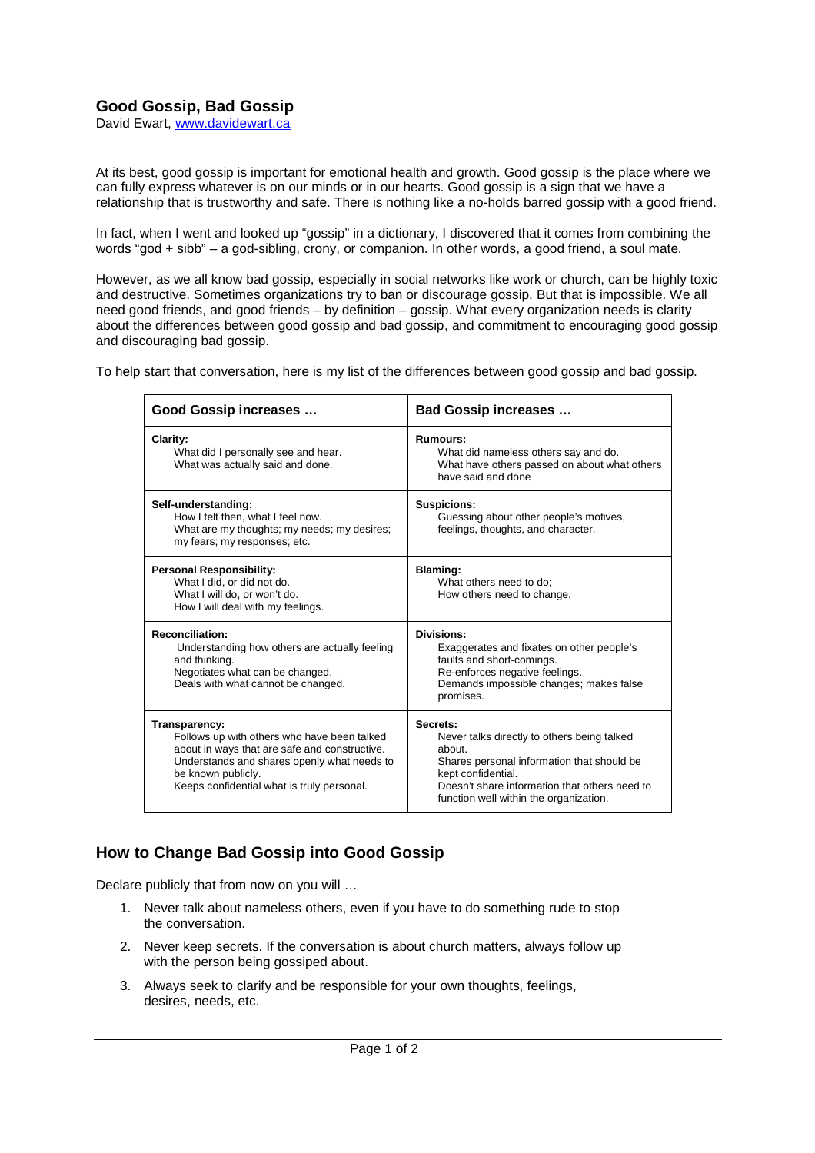## **Good Gossip, Bad Gossip**

David Ewart, www.davidewart.ca

At its best, good gossip is important for emotional health and growth. Good gossip is the place where we can fully express whatever is on our minds or in our hearts. Good gossip is a sign that we have a relationship that is trustworthy and safe. There is nothing like a no-holds barred gossip with a good friend.

In fact, when I went and looked up "gossip" in a dictionary, I discovered that it comes from combining the words "god + sibb" – a god-sibling, crony, or companion. In other words, a good friend, a soul mate.

However, as we all know bad gossip, especially in social networks like work or church, can be highly toxic and destructive. Sometimes organizations try to ban or discourage gossip. But that is impossible. We all need good friends, and good friends – by definition – gossip. What every organization needs is clarity about the differences between good gossip and bad gossip, and commitment to encouraging good gossip and discouraging bad gossip.

To help start that conversation, here is my list of the differences between good gossip and bad gossip.

| Good Gossip increases                                                                                                                                                                                                            | <b>Bad Gossip increases </b>                                                                                                                                                                                                     |
|----------------------------------------------------------------------------------------------------------------------------------------------------------------------------------------------------------------------------------|----------------------------------------------------------------------------------------------------------------------------------------------------------------------------------------------------------------------------------|
| Clarity:<br>What did I personally see and hear.<br>What was actually said and done.                                                                                                                                              | <b>Rumours:</b><br>What did nameless others say and do.<br>What have others passed on about what others<br>have said and done                                                                                                    |
| Self-understanding:<br>How I felt then, what I feel now.<br>What are my thoughts; my needs; my desires;<br>my fears; my responses; etc.                                                                                          | <b>Suspicions:</b><br>Guessing about other people's motives,<br>feelings, thoughts, and character.                                                                                                                               |
| <b>Personal Responsibility:</b><br>What I did, or did not do.<br>What I will do, or won't do.<br>How I will deal with my feelings.                                                                                               | <b>Blaming:</b><br>What others need to do:<br>How others need to change.                                                                                                                                                         |
| <b>Reconciliation:</b><br>Understanding how others are actually feeling<br>and thinking.<br>Negotiates what can be changed.<br>Deals with what cannot be changed.                                                                | Divisions:<br>Exaggerates and fixates on other people's<br>faults and short-comings.<br>Re-enforces negative feelings.<br>Demands impossible changes; makes false<br>promises.                                                   |
| Transparency:<br>Follows up with others who have been talked<br>about in ways that are safe and constructive.<br>Understands and shares openly what needs to<br>be known publicly.<br>Keeps confidential what is truly personal. | Secrets:<br>Never talks directly to others being talked<br>about.<br>Shares personal information that should be<br>kept confidential.<br>Doesn't share information that others need to<br>function well within the organization. |

## **How to Change Bad Gossip into Good Gossip**

Declare publicly that from now on you will …

- 1. Never talk about nameless others, even if you have to do something rude to stop the conversation.
- 2. Never keep secrets. If the conversation is about church matters, always follow up with the person being gossiped about.
- 3. Always seek to clarify and be responsible for your own thoughts, feelings, desires, needs, etc.